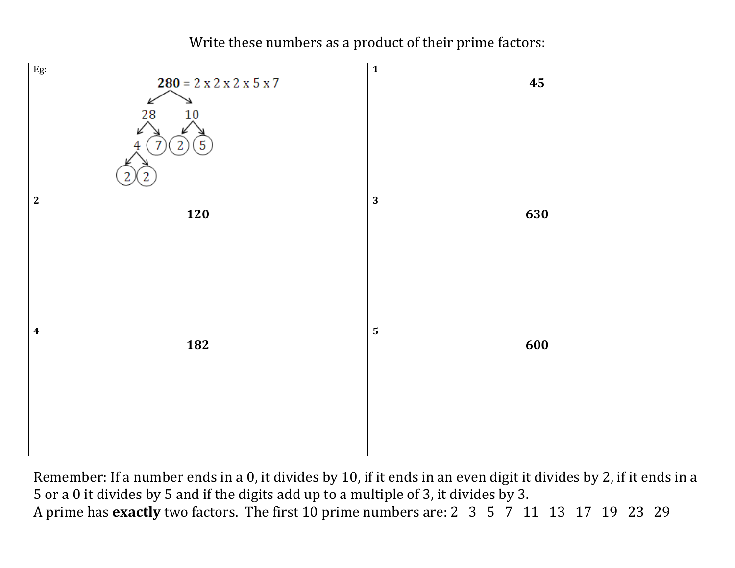Write these numbers as a product of their prime factors:



Remember: If a number ends in a 0, it divides by 10, if it ends in an even digit it divides by 2, if it ends in a 5 or a 0 it divides by 5 and if the digits add up to a multiple of 3, it divides by 3. A prime has **exactly** two factors. The first 10 prime numbers are: 2 3 5 7 11 13 17 19 23 29